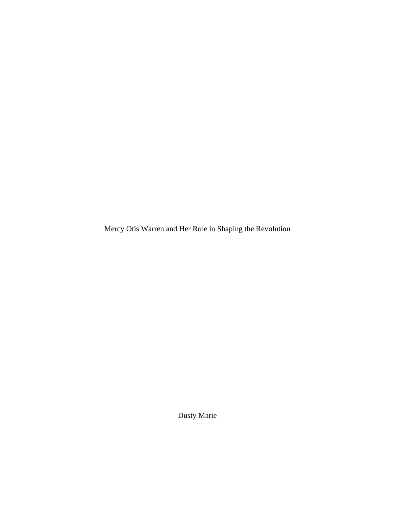Mercy Otis Warren and Her Role in Shaping the Revolution

Dusty Marie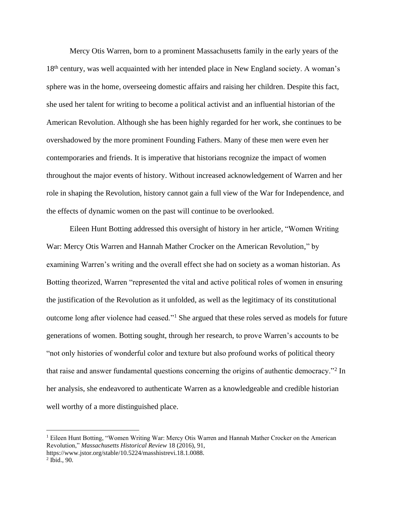Mercy Otis Warren, born to a prominent Massachusetts family in the early years of the 18th century, was well acquainted with her intended place in New England society. A woman's sphere was in the home, overseeing domestic affairs and raising her children. Despite this fact, she used her talent for writing to become a political activist and an influential historian of the American Revolution. Although she has been highly regarded for her work, she continues to be overshadowed by the more prominent Founding Fathers. Many of these men were even her contemporaries and friends. It is imperative that historians recognize the impact of women throughout the major events of history. Without increased acknowledgement of Warren and her role in shaping the Revolution, history cannot gain a full view of the War for Independence, and the effects of dynamic women on the past will continue to be overlooked.

Eileen Hunt Botting addressed this oversight of history in her article, "Women Writing War: Mercy Otis Warren and Hannah Mather Crocker on the American Revolution," by examining Warren's writing and the overall effect she had on society as a woman historian. As Botting theorized, Warren "represented the vital and active political roles of women in ensuring the justification of the Revolution as it unfolded, as well as the legitimacy of its constitutional outcome long after violence had ceased."<sup>1</sup> She argued that these roles served as models for future generations of women. Botting sought, through her research, to prove Warren's accounts to be "not only histories of wonderful color and texture but also profound works of political theory that raise and answer fundamental questions concerning the origins of authentic democracy."<sup>2</sup> In her analysis, she endeavored to authenticate Warren as a knowledgeable and credible historian well worthy of a more distinguished place.

<sup>&</sup>lt;sup>1</sup> Eileen Hunt Botting, "Women Writing War: Mercy Otis Warren and Hannah Mather Crocker on the American Revolution," *Massachusetts Historical Review* 18 (2016), 91, https://www.jstor.org/stable/10.5224/masshistrevi.18.1.0088.

 $2$  Ibid., 90.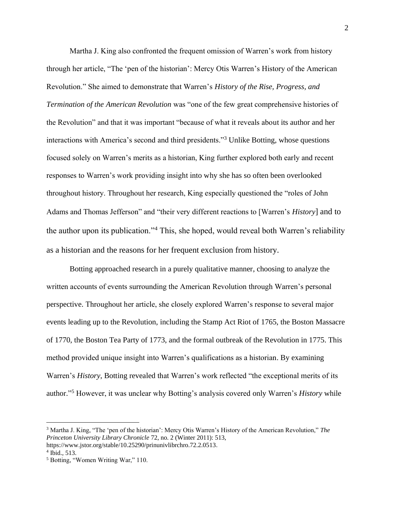Martha J. King also confronted the frequent omission of Warren's work from history through her article, "The 'pen of the historian': Mercy Otis Warren's History of the American Revolution." She aimed to demonstrate that Warren's *History of the Rise, Progress, and Termination of the American Revolution* was "one of the few great comprehensive histories of the Revolution" and that it was important "because of what it reveals about its author and her interactions with America's second and third presidents."<sup>3</sup> Unlike Botting, whose questions focused solely on Warren's merits as a historian, King further explored both early and recent responses to Warren's work providing insight into why she has so often been overlooked throughout history. Throughout her research, King especially questioned the "roles of John Adams and Thomas Jefferson" and "their very different reactions to [Warren's *History*] and to the author upon its publication."<sup>4</sup> This, she hoped, would reveal both Warren's reliability as a historian and the reasons for her frequent exclusion from history.

Botting approached research in a purely qualitative manner, choosing to analyze the written accounts of events surrounding the American Revolution through Warren's personal perspective. Throughout her article, she closely explored Warren's response to several major events leading up to the Revolution, including the Stamp Act Riot of 1765, the Boston Massacre of 1770, the Boston Tea Party of 1773, and the formal outbreak of the Revolution in 1775. This method provided unique insight into Warren's qualifications as a historian. By examining Warren's *History*, Botting revealed that Warren's work reflected "the exceptional merits of its author." <sup>5</sup> However, it was unclear why Botting's analysis covered only Warren's *History* while

<sup>3</sup> Martha J. King, "The 'pen of the historian': Mercy Otis Warren's History of the American Revolution," *The Princeton University Library Chronicle* 72, no. 2 (Winter 2011): 513,

https://www.jstor.org/stable/10.25290/prinunivlibrchro.72.2.0513.

<sup>4</sup> Ibid., 513.

<sup>5</sup> Botting, "Women Writing War," 110.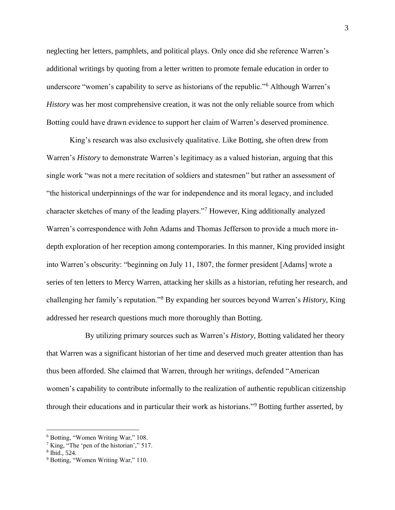neglecting her letters, pamphlets, and political plays. Only once did she reference Warren's additional writings by quoting from a letter written to promote female education in order to underscore "women's capability to serve as historians of the republic."<sup>6</sup> Although Warren's *History* was her most comprehensive creation, it was not the only reliable source from which Botting could have drawn evidence to support her claim of Warren's deserved prominence.

King's research was also exclusively qualitative. Like Botting, she often drew from Warren's *History* to demonstrate Warren's legitimacy as a valued historian, arguing that this single work "was not a mere recitation of soldiers and statesmen" but rather an assessment of "the historical underpinnings of the war for independence and its moral legacy, and included character sketches of many of the leading players."<sup>7</sup> However, King additionally analyzed Warren's correspondence with John Adams and Thomas Jefferson to provide a much more indepth exploration of her reception among contemporaries. In this manner, King provided insight into Warren's obscurity: "beginning on July 11, 1807, the former president [Adams] wrote a series of ten letters to Mercy Warren, attacking her skills as a historian, refuting her research, and challenging her family's reputation."<sup>8</sup> By expanding her sources beyond Warren's *History*, King addressed her research questions much more thoroughly than Botting.

 By utilizing primary sources such as Warren's *History*, Botting validated her theory that Warren was a significant historian of her time and deserved much greater attention than has thus been afforded. She claimed that Warren, through her writings, defended "American women's capability to contribute informally to the realization of authentic republican citizenship through their educations and in particular their work as historians."<sup>9</sup> Botting further asserted, by

<sup>6</sup> Botting, "Women Writing War," 108.

 $7$  King, "The 'pen of the historian'," 517.

<sup>8</sup> Ibid., 524.

<sup>&</sup>lt;sup>9</sup> Botting, "Women Writing War," 110.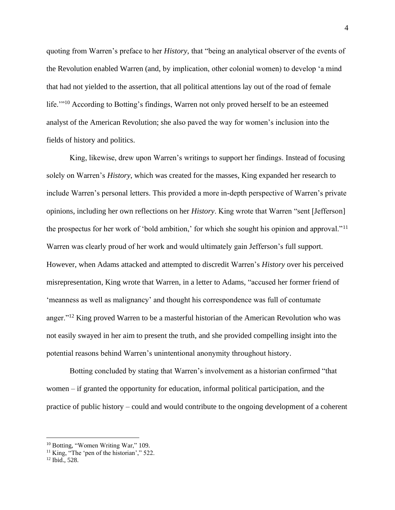quoting from Warren's preface to her *History*, that "being an analytical observer of the events of the Revolution enabled Warren (and, by implication, other colonial women) to develop 'a mind that had not yielded to the assertion, that all political attentions lay out of the road of female life."<sup>10</sup> According to Botting's findings, Warren not only proved herself to be an esteemed analyst of the American Revolution; she also paved the way for women's inclusion into the fields of history and politics.

King, likewise, drew upon Warren's writings to support her findings. Instead of focusing solely on Warren's *History*, which was created for the masses, King expanded her research to include Warren's personal letters. This provided a more in-depth perspective of Warren's private opinions, including her own reflections on her *History*. King wrote that Warren "sent [Jefferson] the prospectus for her work of 'bold ambition,' for which she sought his opinion and approval."<sup>11</sup> Warren was clearly proud of her work and would ultimately gain Jefferson's full support. However, when Adams attacked and attempted to discredit Warren's *History* over his perceived misrepresentation, King wrote that Warren, in a letter to Adams, "accused her former friend of 'meanness as well as malignancy' and thought his correspondence was full of contumate anger."<sup>12</sup> King proved Warren to be a masterful historian of the American Revolution who was not easily swayed in her aim to present the truth, and she provided compelling insight into the potential reasons behind Warren's unintentional anonymity throughout history.

Botting concluded by stating that Warren's involvement as a historian confirmed "that women – if granted the opportunity for education, informal political participation, and the practice of public history – could and would contribute to the ongoing development of a coherent

<sup>&</sup>lt;sup>10</sup> Botting, "Women Writing War," 109.

<sup>&</sup>lt;sup>11</sup> King, "The 'pen of the historian'," 522.

<sup>12</sup> Ibid., 528.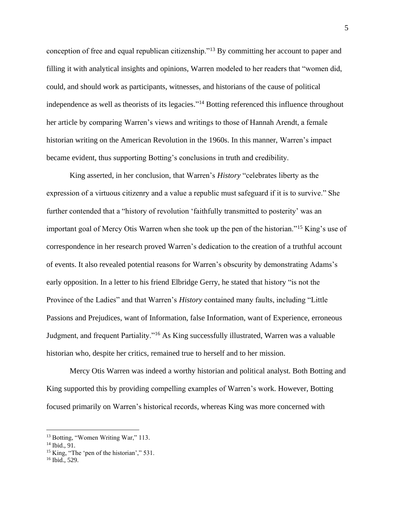conception of free and equal republican citizenship."<sup>13</sup> By committing her account to paper and filling it with analytical insights and opinions, Warren modeled to her readers that "women did, could, and should work as participants, witnesses, and historians of the cause of political independence as well as theorists of its legacies."<sup>14</sup> Botting referenced this influence throughout her article by comparing Warren's views and writings to those of Hannah Arendt, a female historian writing on the American Revolution in the 1960s. In this manner, Warren's impact became evident, thus supporting Botting's conclusions in truth and credibility.

King asserted, in her conclusion, that Warren's *History* "celebrates liberty as the expression of a virtuous citizenry and a value a republic must safeguard if it is to survive." She further contended that a "history of revolution 'faithfully transmitted to posterity' was an important goal of Mercy Otis Warren when she took up the pen of the historian."<sup>15</sup> King's use of correspondence in her research proved Warren's dedication to the creation of a truthful account of events. It also revealed potential reasons for Warren's obscurity by demonstrating Adams's early opposition. In a letter to his friend Elbridge Gerry, he stated that history "is not the Province of the Ladies" and that Warren's *History* contained many faults, including "Little Passions and Prejudices, want of Information, false Information, want of Experience, erroneous Judgment, and frequent Partiality."<sup>16</sup> As King successfully illustrated, Warren was a valuable historian who, despite her critics, remained true to herself and to her mission.

Mercy Otis Warren was indeed a worthy historian and political analyst. Both Botting and King supported this by providing compelling examples of Warren's work. However, Botting focused primarily on Warren's historical records, whereas King was more concerned with

<sup>&</sup>lt;sup>13</sup> Botting, "Women Writing War," 113.

<sup>14</sup> Ibid., 91.

<sup>&</sup>lt;sup>15</sup> King, "The 'pen of the historian'," 531.

<sup>16</sup> Ibid., 529.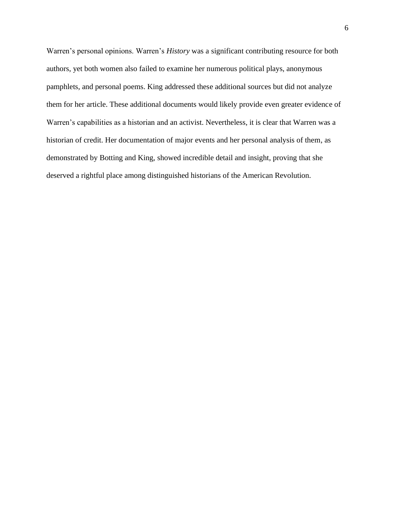Warren's personal opinions. Warren's *History* was a significant contributing resource for both authors, yet both women also failed to examine her numerous political plays, anonymous pamphlets, and personal poems. King addressed these additional sources but did not analyze them for her article. These additional documents would likely provide even greater evidence of Warren's capabilities as a historian and an activist. Nevertheless, it is clear that Warren was a historian of credit. Her documentation of major events and her personal analysis of them, as demonstrated by Botting and King, showed incredible detail and insight, proving that she deserved a rightful place among distinguished historians of the American Revolution.